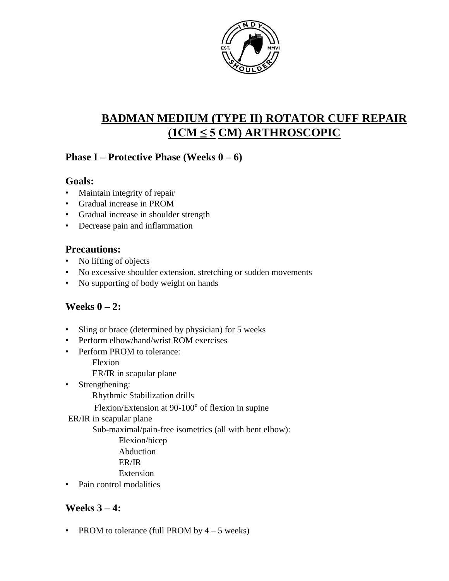

# **BADMAN MEDIUM (TYPE II) ROTATOR CUFF REPAIR (1CM ≤ 5 CM) ARTHROSCOPIC**

### **Phase I – Protective Phase (Weeks 0 – 6)**

#### **Goals:**

- Maintain integrity of repair
- Gradual increase in PROM
- Gradual increase in shoulder strength
- Decrease pain and inflammation

### **Precautions:**

- No lifting of objects
- No excessive shoulder extension, stretching or sudden movements
- No supporting of body weight on hands

# **Weeks 0 – 2:**

- Sling or brace (determined by physician) for 5 weeks
- Perform elbow/hand/wrist ROM exercises
- Perform PROM to tolerance:
	- Flexion
	- ER/IR in scapular plane
- Strengthening:

Rhythmic Stabilization drills

Flexion/Extension at 90-100° of flexion in supine

#### ER/IR in scapular plane

Sub-maximal/pain-free isometrics (all with bent elbow):

- Flexion/bicep
- Abduction
- ER/IR
- Extension
- Pain control modalities

# **Weeks 3 – 4:**

• PROM to tolerance (full PROM by  $4 - 5$  weeks)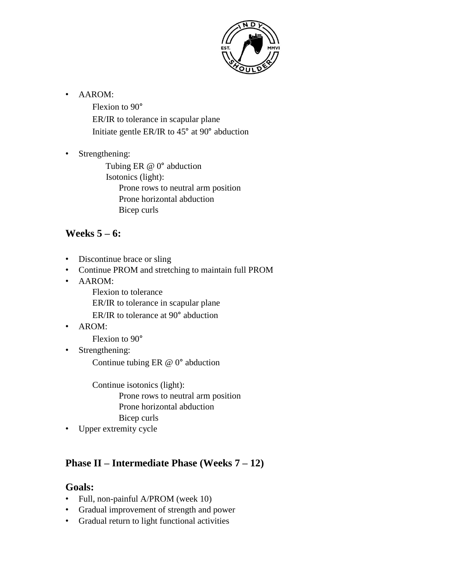

• AAROM:

Flexion to 90° ER/IR to tolerance in scapular plane Initiate gentle ER/IR to 45° at 90° abduction

• Strengthening:

Tubing ER @ 0° abduction Isotonics (light): Prone rows to neutral arm position Prone horizontal abduction Bicep curls

### **Weeks 5 – 6:**

- Discontinue brace or sling
- Continue PROM and stretching to maintain full PROM
- AAROM:
	- Flexion to tolerance

ER/IR to tolerance in scapular plane

- ER/IR to tolerance at 90° abduction
- AROM:

Flexion to 90°

• Strengthening:

Continue tubing ER @ 0° abduction

Continue isotonics (light): Prone rows to neutral arm position Prone horizontal abduction Bicep curls

• Upper extremity cycle

# **Phase II – Intermediate Phase (Weeks 7 – 12)**

#### **Goals:**

- Full, non-painful A/PROM (week 10)
- Gradual improvement of strength and power
- Gradual return to light functional activities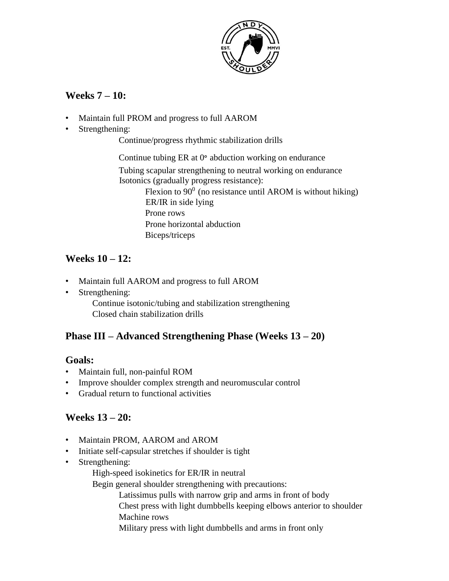

### **Weeks 7 – 10:**

- Maintain full PROM and progress to full AAROM
- Strengthening:

Continue/progress rhythmic stabilization drills

Continue tubing ER at 0° abduction working on endurance Tubing scapular strengthening to neutral working on endurance Isotonics (gradually progress resistance): Flexion to  $90^0$  (no resistance until AROM is without hiking) ER/IR in side lying Prone rows Prone horizontal abduction Biceps/triceps

### **Weeks 10 – 12:**

- Maintain full AAROM and progress to full AROM
- Strengthening:

Continue isotonic/tubing and stabilization strengthening Closed chain stabilization drills

# **Phase III – Advanced Strengthening Phase (Weeks 13 – 20)**

#### **Goals:**

- Maintain full, non-painful ROM
- Improve shoulder complex strength and neuromuscular control
- Gradual return to functional activities

# **Weeks 13 – 20:**

- Maintain PROM, AAROM and AROM
- Initiate self-capsular stretches if shoulder is tight
- Strengthening:
	- High-speed isokinetics for ER/IR in neutral

Begin general shoulder strengthening with precautions:

- Latissimus pulls with narrow grip and arms in front of body
- Chest press with light dumbbells keeping elbows anterior to shoulder Machine rows
- Military press with light dumbbells and arms in front only